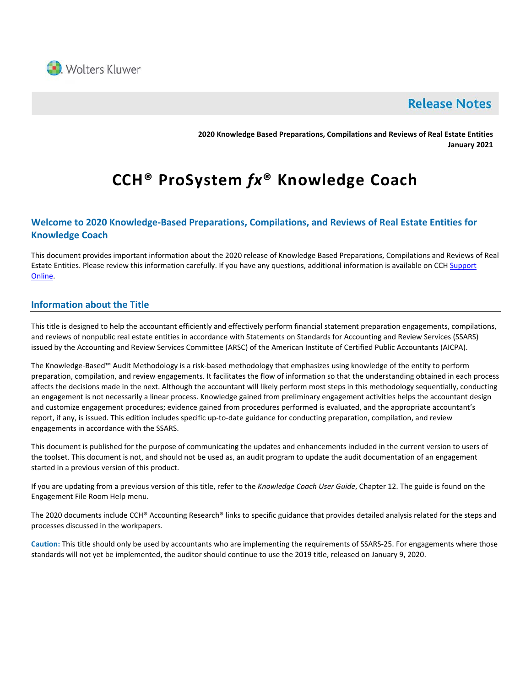

# **Release Notes**

**2020 Knowledge Based Preparations, Compilations and Reviews of Real Estate Entities January 2021**

# **CCH® ProSystem** *fx***® Knowledge Coach**

# **Welcome to 2020 Knowledge-Based Preparations, Compilations, and Reviews of Real Estate Entities for Knowledge Coach**

This document provides important information about the 2020 release of Knowledge Based Preparations, Compilations and Reviews of Real Estate Entities. Please review this information carefully. If you have any questions, additional information is available on CCH Support [Online.](http://support.cch.com/productsupport/)

# **Information about the Title**

This title is designed to help the accountant efficiently and effectively perform financial statement preparation engagements, compilations, and reviews of nonpublic real estate entities in accordance with Statements on Standards for Accounting and Review Services (SSARS) issued by the Accounting and Review Services Committee (ARSC) of the American Institute of Certified Public Accountants (AICPA).

The Knowledge-Based™ Audit Methodology is a risk-based methodology that emphasizes using knowledge of the entity to perform preparation, compilation, and review engagements. It facilitates the flow of information so that the understanding obtained in each process affects the decisions made in the next. Although the accountant will likely perform most steps in this methodology sequentially, conducting an engagement is not necessarily a linear process. Knowledge gained from preliminary engagement activities helps the accountant design and customize engagement procedures; evidence gained from procedures performed is evaluated, and the appropriate accountant's report, if any, is issued. This edition includes specific up-to-date guidance for conducting preparation, compilation, and review engagements in accordance with the SSARS.

This document is published for the purpose of communicating the updates and enhancements included in the current version to users of the toolset. This document is not, and should not be used as, an audit program to update the audit documentation of an engagement started in a previous version of this product.

If you are updating from a previous version of this title, refer to the *Knowledge Coach User Guide*, Chapter 12. The guide is found on the Engagement File Room Help menu.

The 2020 documents include CCH® Accounting Research® links to specific guidance that provides detailed analysis related for the steps and processes discussed in the workpapers.

**Caution:** This title should only be used by accountants who are implementing the requirements of SSARS-25. For engagements where those standards will not yet be implemented, the auditor should continue to use the 2019 title, released on January 9, 2020.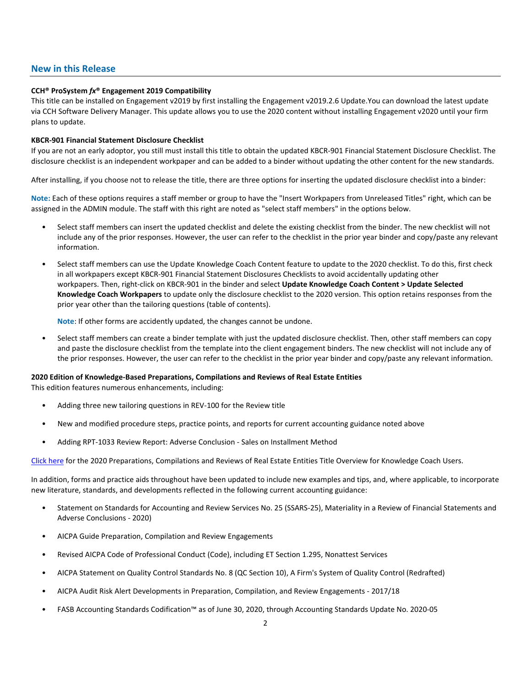### **New in this Release**

#### **CCH® ProSystem** *fx***® Engagement 2019 Compatibility**

This title can be installed on Engagement v2019 by first installing the Engagement v2019.2.6 Update.You can download the latest update via CCH Software Delivery Manager. This update allows you to use the 2020 content without installing Engagement v2020 until your firm plans to update.

#### **KBCR-901 Financial Statement Disclosure Checklist**

If you are not an early adoptor, you still must install this title to obtain the updated KBCR-901 Financial Statement Disclosure Checklist. The disclosure checklist is an independent workpaper and can be added to a binder without updating the other content for the new standards.

After installing, if you choose not to release the title, there are three options for inserting the updated disclosure checklist into a binder:

**Note:** Each of these options requires a staff member or group to have the "Insert Workpapers from Unreleased Titles" right, which can be assigned in the ADMIN module. The staff with this right are noted as "select staff members" in the options below.

- Select staff members can insert the updated checklist and delete the existing checklist from the binder. The new checklist will not include any of the prior responses. However, the user can refer to the checklist in the prior year binder and copy/paste any relevant information.
- Select staff members can use the Update Knowledge Coach Content feature to update to the 2020 checklist. To do this, first check in all workpapers except KBCR-901 Financial Statement Disclosures Checklists to avoid accidentally updating other workpapers. Then, right-click on KBCR-901 in the binder and select **Update Knowledge Coach Content > Update Selected Knowledge Coach Workpapers** to update only the disclosure checklist to the 2020 version. This option retains responses from the prior year other than the tailoring questions (table of contents).

**Note**: If other forms are accidently updated, the changes cannot be undone.

• Select staff members can create a binder template with just the updated disclosure checklist. Then, other staff members can copy and paste the disclosure checklist from the template into the client engagement binders. The new checklist will not include any of the prior responses. However, the user can refer to the checklist in the prior year binder and copy/paste any relevant information.

#### **2020 Edition of Knowledge-Based Preparations, Compilations and Reviews of Real Estate Entities**

This edition features numerous enhancements, including:

- Adding three new tailoring questions in REV-100 for the Review title
- New and modified procedure steps, practice points, and reports for current accounting guidance noted above
- Adding RPT-1033 Review Report: Adverse Conclusion Sales on Installment Method

Click [here](http://support.cch.com/updates/KnowledgeCoach/pdf/guides_tab/2020%20Real%20Estate%20Entities%20PCR%20Title%20Overview%20for%20Knowledge%20Coach%20Users.pdf) for the 2020 Preparations, Compilations and Reviews of Real Estate Entities Title Overview for Knowledge Coach Users.

In addition, forms and practice aids throughout have been updated to include new examples and tips, and, where applicable, to incorporate new literature, standards, and developments reflected in the following current accounting guidance:

- Statement on Standards for Accounting and Review Services No. 25 (SSARS-25), Materiality in a Review of Financial Statements and Adverse Conclusions - 2020)
- AICPA Guide Preparation, Compilation and Review Engagements
- Revised AICPA Code of Professional Conduct (Code), including ET Section 1.295, Nonattest Services
- AICPA Statement on Quality Control Standards No. 8 (QC Section 10), A Firm's System of Quality Control (Redrafted)
- AICPA Audit Risk Alert Developments in Preparation, Compilation, and Review Engagements 2017/18
- FASB Accounting Standards Codification™ as of June 30, 2020, through Accounting Standards Update No. 2020-05